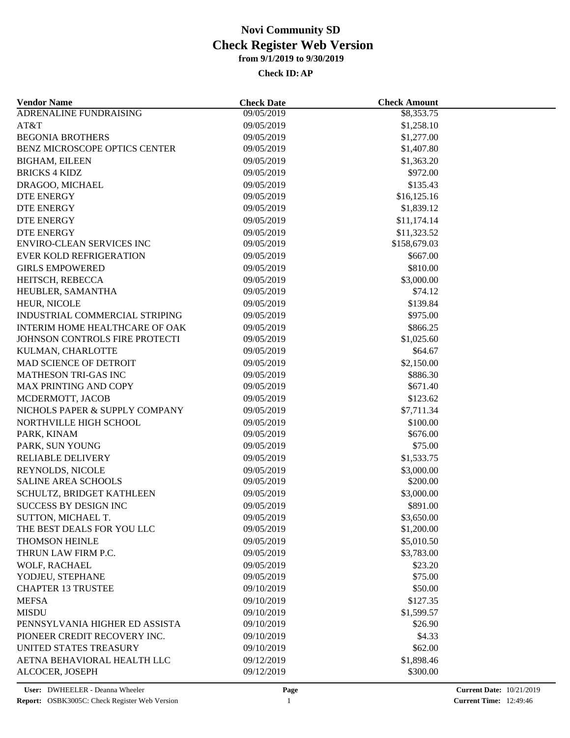| <b>Vendor Name</b>                    | <b>Check Date</b> | <b>Check Amount</b> |  |
|---------------------------------------|-------------------|---------------------|--|
| <b>ADRENALINE FUNDRAISING</b>         | 09/05/2019        | \$8,353.75          |  |
| AT&T                                  | 09/05/2019        | \$1,258.10          |  |
| <b>BEGONIA BROTHERS</b>               | 09/05/2019        | \$1,277.00          |  |
| BENZ MICROSCOPE OPTICS CENTER         | 09/05/2019        | \$1,407.80          |  |
| <b>BIGHAM, EILEEN</b>                 | 09/05/2019        | \$1,363.20          |  |
| <b>BRICKS 4 KIDZ</b>                  | 09/05/2019        | \$972.00            |  |
| DRAGOO, MICHAEL                       | 09/05/2019        | \$135.43            |  |
| <b>DTE ENERGY</b>                     | 09/05/2019        | \$16,125.16         |  |
| DTE ENERGY                            | 09/05/2019        | \$1,839.12          |  |
| <b>DTE ENERGY</b>                     | 09/05/2019        | \$11,174.14         |  |
| <b>DTE ENERGY</b>                     | 09/05/2019        | \$11,323.52         |  |
| ENVIRO-CLEAN SERVICES INC             | 09/05/2019        | \$158,679.03        |  |
| <b>EVER KOLD REFRIGERATION</b>        | 09/05/2019        | \$667.00            |  |
| <b>GIRLS EMPOWERED</b>                | 09/05/2019        | \$810.00            |  |
| HEITSCH, REBECCA                      | 09/05/2019        | \$3,000.00          |  |
| HEUBLER, SAMANTHA                     | 09/05/2019        | \$74.12             |  |
| HEUR, NICOLE                          | 09/05/2019        | \$139.84            |  |
| INDUSTRIAL COMMERCIAL STRIPING        | 09/05/2019        | \$975.00            |  |
| <b>INTERIM HOME HEALTHCARE OF OAK</b> | 09/05/2019        | \$866.25            |  |
| JOHNSON CONTROLS FIRE PROTECTI        | 09/05/2019        | \$1,025.60          |  |
| KULMAN, CHARLOTTE                     | 09/05/2019        | \$64.67             |  |
| MAD SCIENCE OF DETROIT                |                   |                     |  |
|                                       | 09/05/2019        | \$2,150.00          |  |
| MATHESON TRI-GAS INC                  | 09/05/2019        | \$886.30            |  |
| MAX PRINTING AND COPY                 | 09/05/2019        | \$671.40            |  |
| MCDERMOTT, JACOB                      | 09/05/2019        | \$123.62            |  |
| NICHOLS PAPER & SUPPLY COMPANY        | 09/05/2019        | \$7,711.34          |  |
| NORTHVILLE HIGH SCHOOL                | 09/05/2019        | \$100.00            |  |
| PARK, KINAM                           | 09/05/2019        | \$676.00            |  |
| PARK, SUN YOUNG                       | 09/05/2019        | \$75.00             |  |
| RELIABLE DELIVERY                     | 09/05/2019        | \$1,533.75          |  |
| REYNOLDS, NICOLE                      | 09/05/2019        | \$3,000.00          |  |
| <b>SALINE AREA SCHOOLS</b>            | 09/05/2019        | \$200.00            |  |
| SCHULTZ, BRIDGET KATHLEEN             | 09/05/2019        | \$3,000.00          |  |
| SUCCESS BY DESIGN INC                 | 09/05/2019        | \$891.00            |  |
| SUTTON, MICHAEL T.                    | 09/05/2019        | \$3,650.00          |  |
| THE BEST DEALS FOR YOU LLC            | 09/05/2019        | \$1,200.00          |  |
| THOMSON HEINLE                        | 09/05/2019        | \$5,010.50          |  |
| THRUN LAW FIRM P.C.                   | 09/05/2019        | \$3,783.00          |  |
| WOLF, RACHAEL                         | 09/05/2019        | \$23.20             |  |
| YODJEU, STEPHANE                      | 09/05/2019        | \$75.00             |  |
| <b>CHAPTER 13 TRUSTEE</b>             | 09/10/2019        | \$50.00             |  |
| <b>MEFSA</b>                          | 09/10/2019        | \$127.35            |  |
| <b>MISDU</b>                          | 09/10/2019        | \$1,599.57          |  |
| PENNSYLVANIA HIGHER ED ASSISTA        | 09/10/2019        | \$26.90             |  |
| PIONEER CREDIT RECOVERY INC.          | 09/10/2019        | \$4.33              |  |
| UNITED STATES TREASURY                | 09/10/2019        | \$62.00             |  |
| AETNA BEHAVIORAL HEALTH LLC           | 09/12/2019        | \$1,898.46          |  |
| ALCOCER, JOSEPH                       | 09/12/2019        | \$300.00            |  |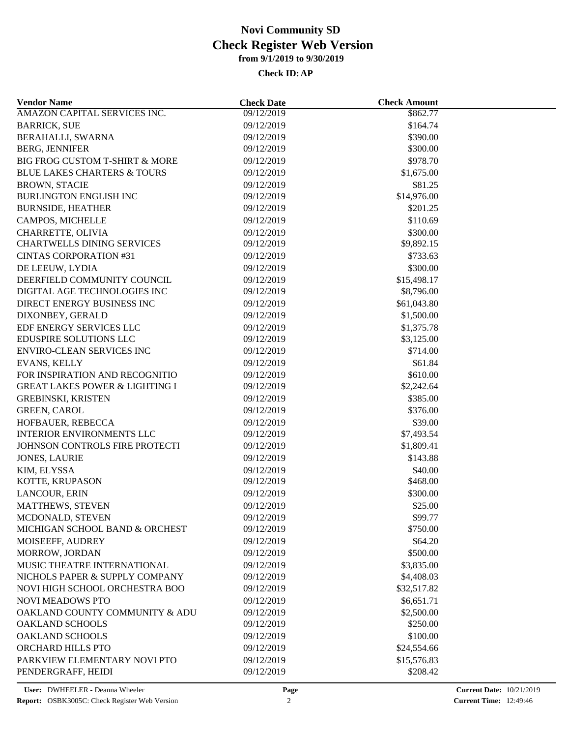| <b>Vendor Name</b>                        | <b>Check Date</b> | <b>Check Amount</b> |  |
|-------------------------------------------|-------------------|---------------------|--|
| AMAZON CAPITAL SERVICES INC.              | 09/12/2019        | \$862.77            |  |
| <b>BARRICK, SUE</b>                       | 09/12/2019        | \$164.74            |  |
| BERAHALLI, SWARNA                         | 09/12/2019        | \$390.00            |  |
| <b>BERG, JENNIFER</b>                     | 09/12/2019        | \$300.00            |  |
| BIG FROG CUSTOM T-SHIRT & MORE            | 09/12/2019        | \$978.70            |  |
| <b>BLUE LAKES CHARTERS &amp; TOURS</b>    | 09/12/2019        | \$1,675.00          |  |
| <b>BROWN, STACIE</b>                      | 09/12/2019        | \$81.25             |  |
| <b>BURLINGTON ENGLISH INC</b>             | 09/12/2019        | \$14,976.00         |  |
| <b>BURNSIDE, HEATHER</b>                  | 09/12/2019        | \$201.25            |  |
| CAMPOS, MICHELLE                          | 09/12/2019        | \$110.69            |  |
| CHARRETTE, OLIVIA                         | 09/12/2019        | \$300.00            |  |
| <b>CHARTWELLS DINING SERVICES</b>         | 09/12/2019        | \$9,892.15          |  |
| <b>CINTAS CORPORATION #31</b>             | 09/12/2019        | \$733.63            |  |
| DE LEEUW, LYDIA                           | 09/12/2019        | \$300.00            |  |
| DEERFIELD COMMUNITY COUNCIL               | 09/12/2019        | \$15,498.17         |  |
| DIGITAL AGE TECHNOLOGIES INC              | 09/12/2019        | \$8,796.00          |  |
| DIRECT ENERGY BUSINESS INC                | 09/12/2019        | \$61,043.80         |  |
| DIXONBEY, GERALD                          | 09/12/2019        | \$1,500.00          |  |
| EDF ENERGY SERVICES LLC                   | 09/12/2019        | \$1,375.78          |  |
| EDUSPIRE SOLUTIONS LLC                    | 09/12/2019        | \$3,125.00          |  |
| ENVIRO-CLEAN SERVICES INC                 | 09/12/2019        | \$714.00            |  |
| EVANS, KELLY                              | 09/12/2019        | \$61.84             |  |
| FOR INSPIRATION AND RECOGNITIO            | 09/12/2019        | \$610.00            |  |
| <b>GREAT LAKES POWER &amp; LIGHTING I</b> | 09/12/2019        | \$2,242.64          |  |
|                                           | 09/12/2019        | \$385.00            |  |
| <b>GREBINSKI, KRISTEN</b>                 |                   |                     |  |
| <b>GREEN, CAROL</b>                       | 09/12/2019        | \$376.00            |  |
| HOFBAUER, REBECCA                         | 09/12/2019        | \$39.00             |  |
| <b>INTERIOR ENVIRONMENTS LLC</b>          | 09/12/2019        | \$7,493.54          |  |
| JOHNSON CONTROLS FIRE PROTECTI            | 09/12/2019        | \$1,809.41          |  |
| <b>JONES, LAURIE</b>                      | 09/12/2019        | \$143.88            |  |
| KIM, ELYSSA                               | 09/12/2019        | \$40.00             |  |
| KOTTE, KRUPASON                           | 09/12/2019        | \$468.00            |  |
| LANCOUR, ERIN                             | 09/12/2019        | \$300.00            |  |
| MATTHEWS, STEVEN                          | 09/12/2019        | \$25.00             |  |
| MCDONALD, STEVEN                          | 09/12/2019        | \$99.77             |  |
| MICHIGAN SCHOOL BAND & ORCHEST            | 09/12/2019        | \$750.00            |  |
| MOISEEFF, AUDREY                          | 09/12/2019        | \$64.20             |  |
| MORROW, JORDAN                            | 09/12/2019        | \$500.00            |  |
| MUSIC THEATRE INTERNATIONAL               | 09/12/2019        | \$3,835.00          |  |
| NICHOLS PAPER & SUPPLY COMPANY            | 09/12/2019        | \$4,408.03          |  |
| NOVI HIGH SCHOOL ORCHESTRA BOO            | 09/12/2019        | \$32,517.82         |  |
| <b>NOVI MEADOWS PTO</b>                   | 09/12/2019        | \$6,651.71          |  |
| OAKLAND COUNTY COMMUNITY & ADU            | 09/12/2019        | \$2,500.00          |  |
| <b>OAKLAND SCHOOLS</b>                    | 09/12/2019        | \$250.00            |  |
| <b>OAKLAND SCHOOLS</b>                    | 09/12/2019        | \$100.00            |  |
| ORCHARD HILLS PTO                         | 09/12/2019        | \$24,554.66         |  |
| PARKVIEW ELEMENTARY NOVI PTO              | 09/12/2019        | \$15,576.83         |  |
| PENDERGRAFF, HEIDI                        | 09/12/2019        | \$208.42            |  |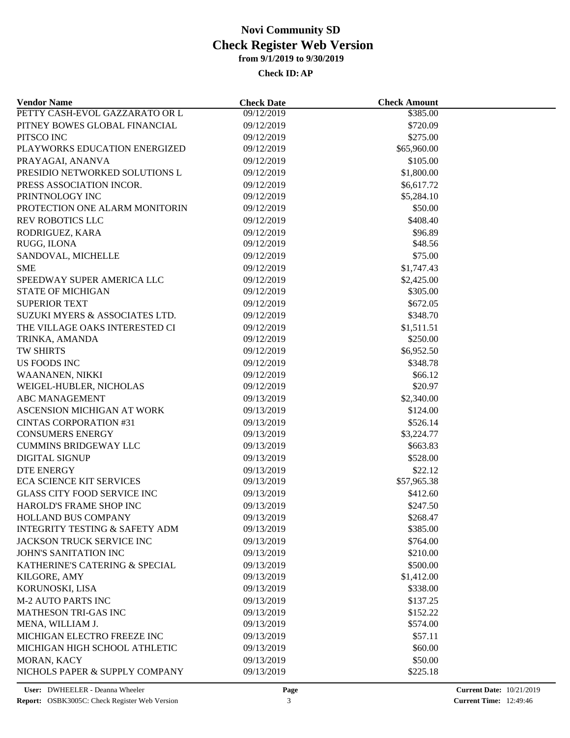| <b>Vendor Name</b>                        | <b>Check Date</b> | <b>Check Amount</b> |  |
|-------------------------------------------|-------------------|---------------------|--|
| PETTY CASH-EVOL GAZZARATO OR L            | 09/12/2019        | \$385.00            |  |
| PITNEY BOWES GLOBAL FINANCIAL             | 09/12/2019        | \$720.09            |  |
| PITSCO INC                                | 09/12/2019        | \$275.00            |  |
| PLAYWORKS EDUCATION ENERGIZED             | 09/12/2019        | \$65,960.00         |  |
| PRAYAGAI, ANANVA                          | 09/12/2019        | \$105.00            |  |
| PRESIDIO NETWORKED SOLUTIONS L            | 09/12/2019        | \$1,800.00          |  |
| PRESS ASSOCIATION INCOR.                  | 09/12/2019        | \$6,617.72          |  |
| PRINTNOLOGY INC                           | 09/12/2019        | \$5,284.10          |  |
| PROTECTION ONE ALARM MONITORIN            | 09/12/2019        | \$50.00             |  |
| <b>REV ROBOTICS LLC</b>                   | 09/12/2019        | \$408.40            |  |
| RODRIGUEZ, KARA                           | 09/12/2019        | \$96.89             |  |
| RUGG, ILONA                               | 09/12/2019        | \$48.56             |  |
| SANDOVAL, MICHELLE                        | 09/12/2019        | \$75.00             |  |
| <b>SME</b>                                | 09/12/2019        | \$1,747.43          |  |
| SPEEDWAY SUPER AMERICA LLC                | 09/12/2019        | \$2,425.00          |  |
| <b>STATE OF MICHIGAN</b>                  | 09/12/2019        | \$305.00            |  |
| <b>SUPERIOR TEXT</b>                      | 09/12/2019        | \$672.05            |  |
| SUZUKI MYERS & ASSOCIATES LTD.            | 09/12/2019        | \$348.70            |  |
| THE VILLAGE OAKS INTERESTED CI            | 09/12/2019        | \$1,511.51          |  |
| TRINKA, AMANDA                            | 09/12/2019        | \$250.00            |  |
| TW SHIRTS                                 | 09/12/2019        | \$6,952.50          |  |
|                                           |                   |                     |  |
| <b>US FOODS INC</b>                       | 09/12/2019        | \$348.78            |  |
| WAANANEN, NIKKI                           | 09/12/2019        | \$66.12             |  |
| WEIGEL-HUBLER, NICHOLAS                   | 09/12/2019        | \$20.97             |  |
| <b>ABC MANAGEMENT</b>                     | 09/13/2019        | \$2,340.00          |  |
| ASCENSION MICHIGAN AT WORK                | 09/13/2019        | \$124.00            |  |
| <b>CINTAS CORPORATION #31</b>             | 09/13/2019        | \$526.14            |  |
| <b>CONSUMERS ENERGY</b>                   | 09/13/2019        | \$3,224.77          |  |
| <b>CUMMINS BRIDGEWAY LLC</b>              | 09/13/2019        | \$663.83            |  |
| <b>DIGITAL SIGNUP</b>                     | 09/13/2019        | \$528.00            |  |
| <b>DTE ENERGY</b>                         | 09/13/2019        | \$22.12             |  |
| <b>ECA SCIENCE KIT SERVICES</b>           | 09/13/2019        | \$57,965.38         |  |
| <b>GLASS CITY FOOD SERVICE INC</b>        | 09/13/2019        | \$412.60            |  |
| HAROLD'S FRAME SHOP INC                   | 09/13/2019        | \$247.50            |  |
| HOLLAND BUS COMPANY                       | 09/13/2019        | \$268.47            |  |
| <b>INTEGRITY TESTING &amp; SAFETY ADM</b> | 09/13/2019        | \$385.00            |  |
| JACKSON TRUCK SERVICE INC                 | 09/13/2019        | \$764.00            |  |
| JOHN'S SANITATION INC                     | 09/13/2019        | \$210.00            |  |
| KATHERINE'S CATERING & SPECIAL            | 09/13/2019        | \$500.00            |  |
| KILGORE, AMY                              | 09/13/2019        | \$1,412.00          |  |
| KORUNOSKI, LISA                           | 09/13/2019        | \$338.00            |  |
| <b>M-2 AUTO PARTS INC</b>                 | 09/13/2019        | \$137.25            |  |
| MATHESON TRI-GAS INC                      | 09/13/2019        | \$152.22            |  |
| MENA, WILLIAM J.                          | 09/13/2019        | \$574.00            |  |
| MICHIGAN ELECTRO FREEZE INC               | 09/13/2019        | \$57.11             |  |
| MICHIGAN HIGH SCHOOL ATHLETIC             | 09/13/2019        | \$60.00             |  |
| MORAN, KACY                               | 09/13/2019        | \$50.00             |  |
| NICHOLS PAPER & SUPPLY COMPANY            | 09/13/2019        | \$225.18            |  |
|                                           |                   |                     |  |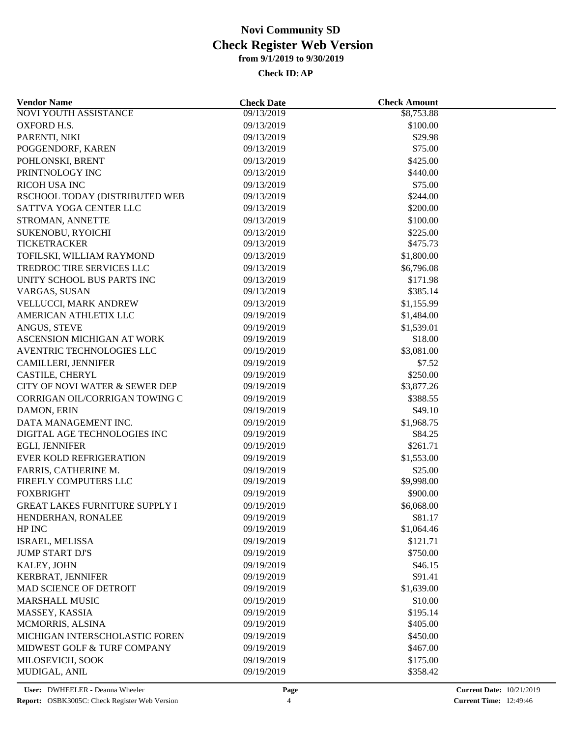| <b>Vendor Name</b>                        | <b>Check Date</b>        | <b>Check Amount</b>   |  |
|-------------------------------------------|--------------------------|-----------------------|--|
| <b>NOVI YOUTH ASSISTANCE</b>              | 09/13/2019               | \$8,753.88            |  |
| OXFORD H.S.                               | 09/13/2019               | \$100.00              |  |
| PARENTI, NIKI                             | 09/13/2019               | \$29.98               |  |
| POGGENDORF, KAREN                         | 09/13/2019               | \$75.00               |  |
| POHLONSKI, BRENT                          | 09/13/2019               | \$425.00              |  |
| PRINTNOLOGY INC                           | 09/13/2019               | \$440.00              |  |
| <b>RICOH USA INC</b>                      | 09/13/2019               | \$75.00               |  |
| RSCHOOL TODAY (DISTRIBUTED WEB            | 09/13/2019               | \$244.00              |  |
| SATTVA YOGA CENTER LLC                    | 09/13/2019               | \$200.00              |  |
| STROMAN, ANNETTE                          | 09/13/2019               | \$100.00              |  |
| SUKENOBU, RYOICHI                         | 09/13/2019               | \$225.00              |  |
| <b>TICKETRACKER</b>                       | 09/13/2019               | \$475.73              |  |
| TOFILSKI, WILLIAM RAYMOND                 | 09/13/2019               | \$1,800.00            |  |
| TREDROC TIRE SERVICES LLC                 | 09/13/2019               | \$6,796.08            |  |
| UNITY SCHOOL BUS PARTS INC                | 09/13/2019               | \$171.98              |  |
| VARGAS, SUSAN                             | 09/13/2019               | \$385.14              |  |
| VELLUCCI, MARK ANDREW                     | 09/13/2019               | \$1,155.99            |  |
| AMERICAN ATHLETIX LLC                     | 09/19/2019               | \$1,484.00            |  |
| ANGUS, STEVE                              | 09/19/2019               | \$1,539.01            |  |
| ASCENSION MICHIGAN AT WORK                | 09/19/2019               | \$18.00               |  |
| AVENTRIC TECHNOLOGIES LLC                 | 09/19/2019               | \$3,081.00            |  |
| <b>CAMILLERI, JENNIFER</b>                | 09/19/2019               | \$7.52                |  |
| CASTILE, CHERYL                           | 09/19/2019               | \$250.00              |  |
| CITY OF NOVI WATER & SEWER DEP            | 09/19/2019               | \$3,877.26            |  |
| CORRIGAN OIL/CORRIGAN TOWING C            | 09/19/2019               | \$388.55              |  |
| DAMON, ERIN                               | 09/19/2019               | \$49.10               |  |
| DATA MANAGEMENT INC.                      | 09/19/2019               | \$1,968.75            |  |
| DIGITAL AGE TECHNOLOGIES INC              | 09/19/2019               | \$84.25               |  |
| EGLI, JENNIFER                            | 09/19/2019               | \$261.71              |  |
| <b>EVER KOLD REFRIGERATION</b>            | 09/19/2019               | \$1,553.00            |  |
| FARRIS, CATHERINE M.                      | 09/19/2019               | \$25.00               |  |
| FIREFLY COMPUTERS LLC                     | 09/19/2019               | \$9,998.00            |  |
| <b>FOXBRIGHT</b>                          | 09/19/2019               | \$900.00              |  |
| <b>GREAT LAKES FURNITURE SUPPLY I</b>     | 09/19/2019               | \$6,068.00            |  |
|                                           |                          |                       |  |
| HENDERHAN, RONALEE<br>HP INC              | 09/19/2019<br>09/19/2019 | \$81.17<br>\$1,064.46 |  |
|                                           |                          |                       |  |
| ISRAEL, MELISSA<br><b>JUMP START DJ'S</b> | 09/19/2019               | \$121.71              |  |
|                                           | 09/19/2019               | \$750.00              |  |
| KALEY, JOHN                               | 09/19/2019               | \$46.15               |  |
| KERBRAT, JENNIFER                         | 09/19/2019               | \$91.41               |  |
| MAD SCIENCE OF DETROIT                    | 09/19/2019               | \$1,639.00            |  |
| <b>MARSHALL MUSIC</b>                     | 09/19/2019               | \$10.00               |  |
| MASSEY, KASSIA                            | 09/19/2019               | \$195.14              |  |
| MCMORRIS, ALSINA                          | 09/19/2019               | \$405.00              |  |
| MICHIGAN INTERSCHOLASTIC FOREN            | 09/19/2019               | \$450.00              |  |
| MIDWEST GOLF & TURF COMPANY               | 09/19/2019               | \$467.00              |  |
| MILOSEVICH, SOOK                          | 09/19/2019               | \$175.00              |  |
| MUDIGAL, ANIL                             | 09/19/2019               | \$358.42              |  |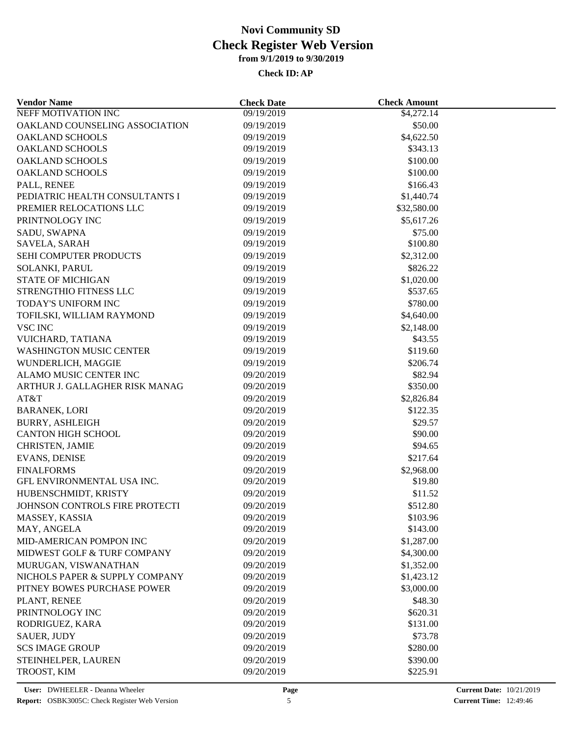| <b>Vendor Name</b>             | <b>Check Date</b> | <b>Check Amount</b> |  |
|--------------------------------|-------------------|---------------------|--|
| <b>NEFF MOTIVATION INC</b>     | 09/19/2019        | \$4,272.14          |  |
| OAKLAND COUNSELING ASSOCIATION | 09/19/2019        | \$50.00             |  |
| <b>OAKLAND SCHOOLS</b>         | 09/19/2019        | \$4,622.50          |  |
| <b>OAKLAND SCHOOLS</b>         | 09/19/2019        | \$343.13            |  |
| <b>OAKLAND SCHOOLS</b>         | 09/19/2019        | \$100.00            |  |
| <b>OAKLAND SCHOOLS</b>         | 09/19/2019        | \$100.00            |  |
| PALL, RENEE                    | 09/19/2019        | \$166.43            |  |
| PEDIATRIC HEALTH CONSULTANTS I | 09/19/2019        | \$1,440.74          |  |
| PREMIER RELOCATIONS LLC        | 09/19/2019        | \$32,580.00         |  |
| PRINTNOLOGY INC                | 09/19/2019        | \$5,617.26          |  |
| SADU, SWAPNA                   | 09/19/2019        | \$75.00             |  |
| SAVELA, SARAH                  | 09/19/2019        | \$100.80            |  |
| <b>SEHI COMPUTER PRODUCTS</b>  | 09/19/2019        | \$2,312.00          |  |
| SOLANKI, PARUL                 | 09/19/2019        | \$826.22            |  |
| <b>STATE OF MICHIGAN</b>       | 09/19/2019        | \$1,020.00          |  |
| STRENGTHIO FITNESS LLC         | 09/19/2019        | \$537.65            |  |
| TODAY'S UNIFORM INC            | 09/19/2019        | \$780.00            |  |
| TOFILSKI, WILLIAM RAYMOND      | 09/19/2019        | \$4,640.00          |  |
| <b>VSC INC</b>                 | 09/19/2019        | \$2,148.00          |  |
| VUICHARD, TATIANA              | 09/19/2019        | \$43.55             |  |
| <b>WASHINGTON MUSIC CENTER</b> | 09/19/2019        | \$119.60            |  |
| WUNDERLICH, MAGGIE             | 09/19/2019        | \$206.74            |  |
| ALAMO MUSIC CENTER INC         | 09/20/2019        | \$82.94             |  |
| ARTHUR J. GALLAGHER RISK MANAG | 09/20/2019        | \$350.00            |  |
| AT&T                           | 09/20/2019        | \$2,826.84          |  |
|                                |                   | \$122.35            |  |
| <b>BARANEK, LORI</b>           | 09/20/2019        |                     |  |
| <b>BURRY, ASHLEIGH</b>         | 09/20/2019        | \$29.57             |  |
| <b>CANTON HIGH SCHOOL</b>      | 09/20/2019        | \$90.00             |  |
| <b>CHRISTEN, JAMIE</b>         | 09/20/2019        | \$94.65             |  |
| <b>EVANS, DENISE</b>           | 09/20/2019        | \$217.64            |  |
| <b>FINALFORMS</b>              | 09/20/2019        | \$2,968.00          |  |
| GFL ENVIRONMENTAL USA INC.     | 09/20/2019        | \$19.80             |  |
| HUBENSCHMIDT, KRISTY           | 09/20/2019        | \$11.52             |  |
| JOHNSON CONTROLS FIRE PROTECTI | 09/20/2019        | \$512.80            |  |
| MASSEY, KASSIA                 | 09/20/2019        | \$103.96            |  |
| MAY, ANGELA                    | 09/20/2019        | \$143.00            |  |
| MID-AMERICAN POMPON INC        | 09/20/2019        | \$1,287.00          |  |
| MIDWEST GOLF & TURF COMPANY    | 09/20/2019        | \$4,300.00          |  |
| MURUGAN, VISWANATHAN           | 09/20/2019        | \$1,352.00          |  |
| NICHOLS PAPER & SUPPLY COMPANY | 09/20/2019        | \$1,423.12          |  |
| PITNEY BOWES PURCHASE POWER    | 09/20/2019        | \$3,000.00          |  |
| PLANT, RENEE                   | 09/20/2019        | \$48.30             |  |
| PRINTNOLOGY INC                | 09/20/2019        | \$620.31            |  |
| RODRIGUEZ, KARA                | 09/20/2019        | \$131.00            |  |
| <b>SAUER, JUDY</b>             | 09/20/2019        | \$73.78             |  |
| <b>SCS IMAGE GROUP</b>         | 09/20/2019        | \$280.00            |  |
| STEINHELPER, LAUREN            | 09/20/2019        | \$390.00            |  |
| TROOST, KIM                    | 09/20/2019        | \$225.91            |  |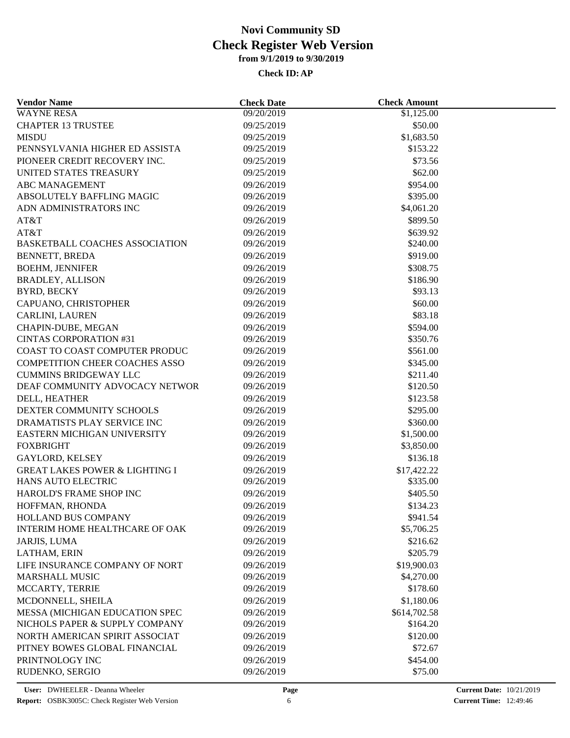| <b>Vendor Name</b>                                         | <b>Check Date</b>        | <b>Check Amount</b> |  |
|------------------------------------------------------------|--------------------------|---------------------|--|
| <b>WAYNE RESA</b>                                          | 09/20/2019               | \$1,125.00          |  |
| <b>CHAPTER 13 TRUSTEE</b>                                  | 09/25/2019               | \$50.00             |  |
| <b>MISDU</b>                                               | 09/25/2019               | \$1,683.50          |  |
| PENNSYLVANIA HIGHER ED ASSISTA                             | 09/25/2019               | \$153.22            |  |
| PIONEER CREDIT RECOVERY INC.                               | 09/25/2019               | \$73.56             |  |
| UNITED STATES TREASURY                                     | 09/25/2019               | \$62.00             |  |
| ABC MANAGEMENT                                             | 09/26/2019               | \$954.00            |  |
| ABSOLUTELY BAFFLING MAGIC                                  | 09/26/2019               | \$395.00            |  |
| ADN ADMINISTRATORS INC                                     | 09/26/2019               | \$4,061.20          |  |
| AT&T                                                       | 09/26/2019               | \$899.50            |  |
| AT&T                                                       | 09/26/2019               | \$639.92            |  |
| <b>BASKETBALL COACHES ASSOCIATION</b>                      | 09/26/2019               | \$240.00            |  |
| BENNETT, BREDA                                             | 09/26/2019               | \$919.00            |  |
| <b>BOEHM, JENNIFER</b>                                     | 09/26/2019               | \$308.75            |  |
| <b>BRADLEY, ALLISON</b>                                    | 09/26/2019               | \$186.90            |  |
| <b>BYRD, BECKY</b>                                         | 09/26/2019               | \$93.13             |  |
| CAPUANO, CHRISTOPHER                                       | 09/26/2019               | \$60.00             |  |
| CARLINI, LAUREN                                            | 09/26/2019               | \$83.18             |  |
| CHAPIN-DUBE, MEGAN                                         | 09/26/2019               | \$594.00            |  |
| <b>CINTAS CORPORATION #31</b>                              | 09/26/2019               | \$350.76            |  |
| COAST TO COAST COMPUTER PRODUC                             | 09/26/2019               | \$561.00            |  |
| COMPETITION CHEER COACHES ASSO                             | 09/26/2019               | \$345.00            |  |
| <b>CUMMINS BRIDGEWAY LLC</b>                               | 09/26/2019               | \$211.40            |  |
| DEAF COMMUNITY ADVOCACY NETWOR                             | 09/26/2019               | \$120.50            |  |
| DELL, HEATHER                                              | 09/26/2019               | \$123.58            |  |
| DEXTER COMMUNITY SCHOOLS                                   | 09/26/2019               | \$295.00            |  |
|                                                            |                          |                     |  |
| DRAMATISTS PLAY SERVICE INC<br>EASTERN MICHIGAN UNIVERSITY | 09/26/2019<br>09/26/2019 | \$360.00            |  |
| <b>FOXBRIGHT</b>                                           |                          | \$1,500.00          |  |
|                                                            | 09/26/2019               | \$3,850.00          |  |
| <b>GAYLORD, KELSEY</b>                                     | 09/26/2019               | \$136.18            |  |
| <b>GREAT LAKES POWER &amp; LIGHTING I</b>                  | 09/26/2019               | \$17,422.22         |  |
| HANS AUTO ELECTRIC                                         | 09/26/2019               | \$335.00            |  |
| HAROLD'S FRAME SHOP INC                                    | 09/26/2019               | \$405.50            |  |
| HOFFMAN, RHONDA                                            | 09/26/2019               | \$134.23            |  |
| HOLLAND BUS COMPANY                                        | 09/26/2019               | \$941.54            |  |
| <b>INTERIM HOME HEALTHCARE OF OAK</b>                      | 09/26/2019               | \$5,706.25          |  |
| JARJIS, LUMA                                               | 09/26/2019               | \$216.62            |  |
| LATHAM, ERIN                                               | 09/26/2019               | \$205.79            |  |
| LIFE INSURANCE COMPANY OF NORT                             | 09/26/2019               | \$19,900.03         |  |
| <b>MARSHALL MUSIC</b>                                      | 09/26/2019               | \$4,270.00          |  |
| MCCARTY, TERRIE                                            | 09/26/2019               | \$178.60            |  |
| MCDONNELL, SHEILA                                          | 09/26/2019               | \$1,180.06          |  |
| MESSA (MICHIGAN EDUCATION SPEC                             | 09/26/2019               | \$614,702.58        |  |
| NICHOLS PAPER & SUPPLY COMPANY                             | 09/26/2019               | \$164.20            |  |
| NORTH AMERICAN SPIRIT ASSOCIAT                             | 09/26/2019               | \$120.00            |  |
| PITNEY BOWES GLOBAL FINANCIAL                              | 09/26/2019               | \$72.67             |  |
| PRINTNOLOGY INC                                            | 09/26/2019               | \$454.00            |  |
| RUDENKO, SERGIO                                            | 09/26/2019               | \$75.00             |  |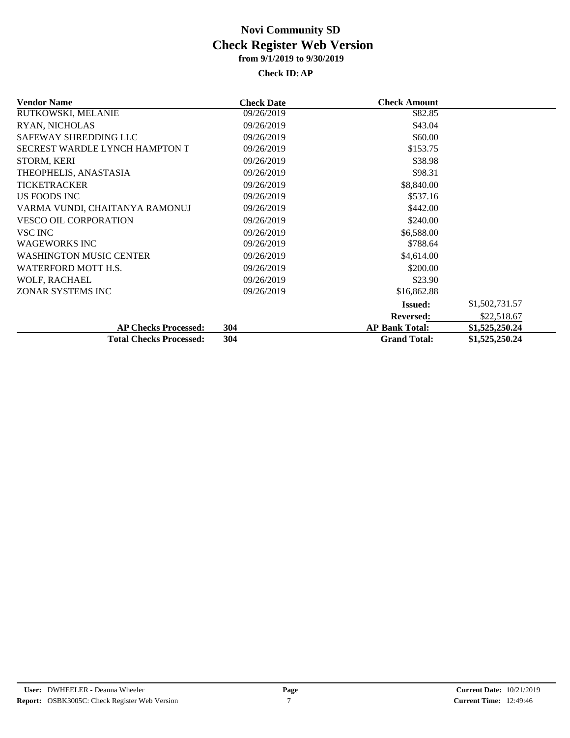| <b>Vendor Name</b>             | <b>Check Date</b> | <b>Check Amount</b>   |                |
|--------------------------------|-------------------|-----------------------|----------------|
| RUTKOWSKI, MELANIE             | 09/26/2019        | \$82.85               |                |
| RYAN, NICHOLAS                 | 09/26/2019        | \$43.04               |                |
| SAFEWAY SHREDDING LLC          | 09/26/2019        | \$60.00               |                |
| SECREST WARDLE LYNCH HAMPTON T | 09/26/2019        | \$153.75              |                |
| STORM, KERI                    | 09/26/2019        | \$38.98               |                |
| THEOPHELIS, ANASTASIA          | 09/26/2019        | \$98.31               |                |
| <b>TICKETRACKER</b>            | 09/26/2019        | \$8,840.00            |                |
| US FOODS INC                   | 09/26/2019        | \$537.16              |                |
| VARMA VUNDI, CHAITANYA RAMONUJ | 09/26/2019        | \$442.00              |                |
| VESCO OIL CORPORATION          | 09/26/2019        | \$240.00              |                |
| VSC INC                        | 09/26/2019        | \$6,588.00            |                |
| <b>WAGEWORKS INC</b>           | 09/26/2019        | \$788.64              |                |
| <b>WASHINGTON MUSIC CENTER</b> | 09/26/2019        | \$4,614.00            |                |
| WATERFORD MOTT H.S.            | 09/26/2019        | \$200.00              |                |
| WOLF, RACHAEL                  | 09/26/2019        | \$23.90               |                |
| ZONAR SYSTEMS INC              | 09/26/2019        | \$16,862.88           |                |
|                                |                   | <b>Issued:</b>        | \$1,502,731.57 |
|                                |                   | <b>Reversed:</b>      | \$22,518.67    |
| <b>AP Checks Processed:</b>    | 304               | <b>AP Bank Total:</b> | \$1,525,250.24 |
| <b>Total Checks Processed:</b> | 304               | <b>Grand Total:</b>   | \$1,525,250.24 |